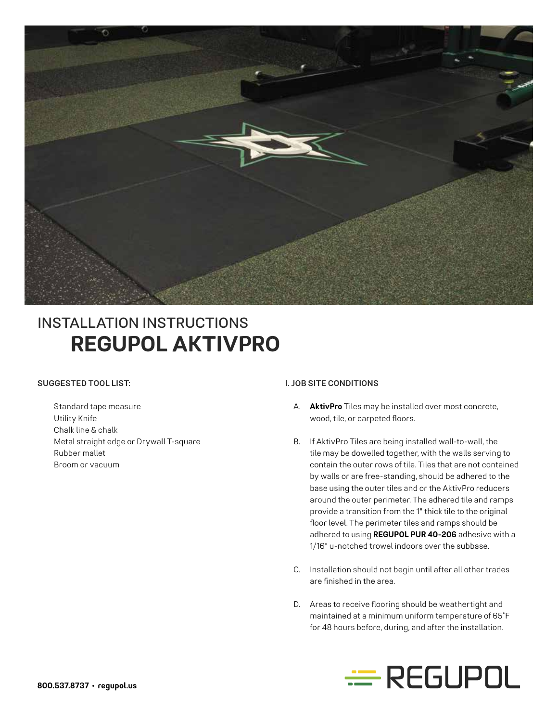

# **REGUPOL AKTIVPRO** INSTALLATION INSTRUCTIONS

## **SUGGESTED TOOL LIST:**

 Standard tape measure Utility Knife Chalk line & chalk Metal straight edge or Drywall T-square Rubber mallet Broom or vacuum

#### **I. JOB SITE CONDITIONS**

- A. **AktivPro** Tiles may be installed over most concrete, wood, tile, or carpeted floors.
- B. If AktivPro Tiles are being installed wall-to-wall, the tile may be dowelled together, with the walls serving to contain the outer rows of tile. Tiles that are not contained by walls or are free-standing, should be adhered to the base using the outer tiles and or the AktivPro reducers around the outer perimeter. The adhered tile and ramps provide a transition from the 1" thick tile to the original floor level. The perimeter tiles and ramps should be adhered to using **REGUPOL PUR 40-206** adhesive with a 1/16" u-notched trowel indoors over the subbase.
- C. Installation should not begin until after all other trades are finished in the area.
- D. Areas to receive flooring should be weathertight and maintained at a minimum uniform temperature of 65˚F for 48 hours before, during, and after the installation.

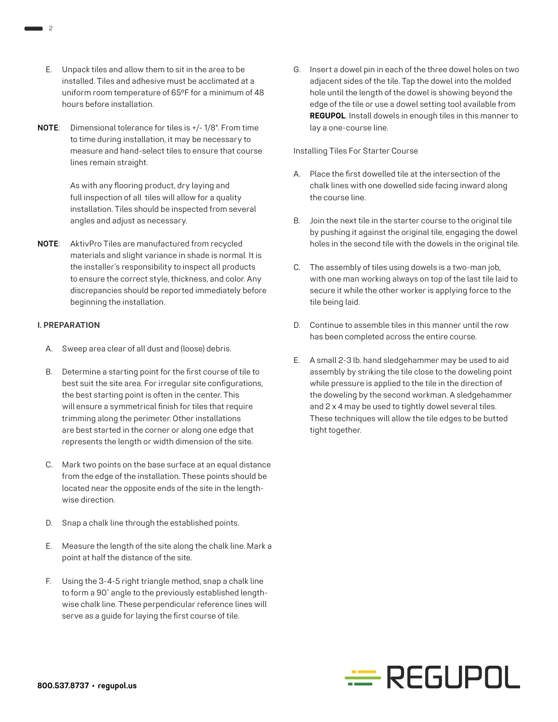- E. Unpack tiles and allow them to sit in the area to be installed. Tiles and adhesive must be acclimated at a uniform room temperature of 65ºF for a minimum of 48 hours before installation.
- **NOTE**: Dimensional tolerance for tiles is +/- 1/8". From time to time during installation, it may be necessary to measure and hand-select tiles to ensure that course lines remain straight.

 As with any flooring product, dry laying and full inspection of all tiles will allow for a quality installation. Tiles should be inspected from several angles and adjust as necessary.

**NOTE**: AktivPro Tiles are manufactured from recycled materials and slight variance in shade is normal. It is the installer's responsibility to inspect all products to ensure the correct style, thickness, and color. Any discrepancies should be reported immediately before beginning the installation.

## **I. PREPARATION**

- A. Sweep area clear of all dust and (loose) debris.
- B. Determine a starting point for the first course of tile to best suit the site area. For irregular site configurations, the best starting point is often in the center. This will ensure a symmetrical finish for tiles that require trimming along the perimeter. Other installations are best started in the corner or along one edge that represents the length or width dimension of the site.
- C. Mark two points on the base surface at an equal distance from the edge of the installation. These points should be located near the opposite ends of the site in the lengthwise direction.
- D. Snap a chalk line through the established points.
- E. Measure the length of the site along the chalk line. Mark a point at half the distance of the site.
- F. Using the 3-4-5 right triangle method, snap a chalk line to form a 90˚ angle to the previously established lengthwise chalk line. These perpendicular reference lines will serve as a guide for laying the first course of tile.

G. Insert a dowel pin in each of the three dowel holes on two adjacent sides of the tile. Tap the dowel into the molded hole until the length of the dowel is showing beyond the edge of the tile or use a dowel setting tool available from **REGUPOL**. Install dowels in enough tiles in this manner to lay a one-course line.

#### Installing Tiles For Starter Course

- A. Place the first dowelled tile at the intersection of the chalk lines with one dowelled side facing inward along the course line.
- B. Join the next tile in the starter course to the original tile by pushing it against the original tile, engaging the dowel holes in the second tile with the dowels in the original tile.
- C. The assembly of tiles using dowels is a two-man job, with one man working always on top of the last tile laid to secure it while the other worker is applying force to the tile being laid.
- D. Continue to assemble tiles in this manner until the row has been completed across the entire course.
- E. A small 2-3 lb. hand sledgehammer may be used to aid assembly by striking the tile close to the doweling point while pressure is applied to the tile in the direction of the doweling by the second workman. A sledgehammer and 2 x 4 may be used to tightly dowel several tiles. These techniques will allow the tile edges to be butted tight together.